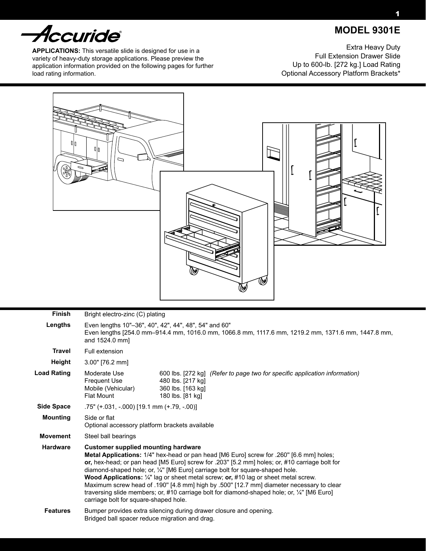# *Accuride*

**APPLICATIONS:** This versatile slide is designed for use in a variety of heavy-duty storage applications. Please preview the application information provided on the following pages for further load rating information.

Extra Heavy Duty Full Extension Drawer Slide Up to 600-lb. [272 kg.] Load Rating Optional Accessory Platform Brackets\*



| <b>Finish</b>      |                                                                                                                                                                                                                                                                                                                                                                                                                                                                                                                                                                                                                                                                      | Bright electro-zinc (C) plating                                                                                                          |  |  |  |  |  |  |
|--------------------|----------------------------------------------------------------------------------------------------------------------------------------------------------------------------------------------------------------------------------------------------------------------------------------------------------------------------------------------------------------------------------------------------------------------------------------------------------------------------------------------------------------------------------------------------------------------------------------------------------------------------------------------------------------------|------------------------------------------------------------------------------------------------------------------------------------------|--|--|--|--|--|--|
| Lengths            | Even lengths 10"-36", 40", 42", 44", 48", 54" and 60"<br>Even lengths [254.0 mm-914.4 mm, 1016.0 mm, 1066.8 mm, 1117.6 mm, 1219.2 mm, 1371.6 mm, 1447.8 mm,<br>and 1524.0 mm                                                                                                                                                                                                                                                                                                                                                                                                                                                                                         |                                                                                                                                          |  |  |  |  |  |  |
| <b>Travel</b>      | Full extension                                                                                                                                                                                                                                                                                                                                                                                                                                                                                                                                                                                                                                                       |                                                                                                                                          |  |  |  |  |  |  |
| Height             | $3.00"$ [76.2 mm]                                                                                                                                                                                                                                                                                                                                                                                                                                                                                                                                                                                                                                                    |                                                                                                                                          |  |  |  |  |  |  |
| <b>Load Rating</b> | Moderate Use<br><b>Frequent Use</b><br>Mobile (Vehicular)<br><b>Flat Mount</b>                                                                                                                                                                                                                                                                                                                                                                                                                                                                                                                                                                                       | 600 lbs. [272 kg] (Refer to page two for specific application information)<br>480 lbs. [217 kg]<br>360 lbs. [163 kg]<br>180 lbs. [81 kg] |  |  |  |  |  |  |
| <b>Side Space</b>  | .75" (+.031, -.000) [19.1 mm (+.79, -.00)]                                                                                                                                                                                                                                                                                                                                                                                                                                                                                                                                                                                                                           |                                                                                                                                          |  |  |  |  |  |  |
| <b>Mounting</b>    | Side or flat<br>Optional accessory platform brackets available                                                                                                                                                                                                                                                                                                                                                                                                                                                                                                                                                                                                       |                                                                                                                                          |  |  |  |  |  |  |
| <b>Movement</b>    | Steel ball bearings                                                                                                                                                                                                                                                                                                                                                                                                                                                                                                                                                                                                                                                  |                                                                                                                                          |  |  |  |  |  |  |
| <b>Hardware</b>    | <b>Customer supplied mounting hardware</b><br>Metal Applications: 1/4" hex-head or pan head [M6 Euro] screw for .260" [6.6 mm] holes;<br>or, hex-head; or pan head [M5 Euro] screw for .203" [5.2 mm] holes; or, #10 carriage bolt for<br>diamond-shaped hole; or, 1/4" [M6 Euro] carriage bolt for square-shaped hole.<br><b>Wood Applications:</b> $\frac{1}{4}$ " lag or sheet metal screw; or, #10 lag or sheet metal screw.<br>Maximum screw head of .190" [4.8 mm] high by .500" [12.7 mm] diameter necessary to clear<br>traversing slide members; or, #10 carriage bolt for diamond-shaped hole; or, 1/4" [M6 Euro]<br>carriage bolt for square-shaped hole. |                                                                                                                                          |  |  |  |  |  |  |
| <b>Features</b>    | Bumper provides extra silencing during drawer closure and opening.<br>Bridged ball spacer reduce migration and drag.                                                                                                                                                                                                                                                                                                                                                                                                                                                                                                                                                 |                                                                                                                                          |  |  |  |  |  |  |

 **MODEL 9301E**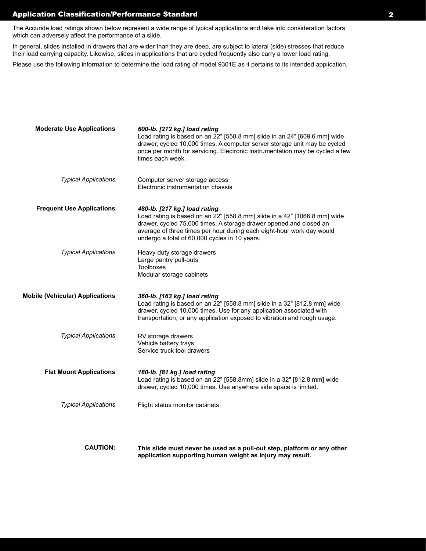### Application Classification/Performance Standard 2

The Accuride load ratings shown below represent a wide range of typical applications and take into consideration factors which can adversely affect the performance of a slide.

In general, slides installed in drawers that are wider than they are deep, are subject to lateral (side) stresses that reduce their load carrying capacity. Likewise, slides in applications that are cycled frequently also carry a lower load rating.

Please use the following information to determine the load rating of model 9301E as it pertains to its intended application.

| <b>Moderate Use Applications</b>       | 600-lb. [272 kg.] load rating<br>Load rating is based on an 22" [558.8 mm] slide in an 24" [609.6 mm] wide<br>drawer, cycled 10,000 times. A computer server storage unit may be cycled<br>once per month for servicing. Electronic instrumentation may be cycled a few<br>times each week.                |
|----------------------------------------|------------------------------------------------------------------------------------------------------------------------------------------------------------------------------------------------------------------------------------------------------------------------------------------------------------|
| <b>Typical Applications</b>            | Computer server storage access<br>Electronic instrumentation chassis                                                                                                                                                                                                                                       |
| <b>Frequent Use Applications</b>       | 480-lb. [217 kg.] load rating<br>Load rating is based on an 22" [558.8 mm] slide in a 42" [1066.8 mm] wide<br>drawer, cycled 75,000 times. A storage drawer opened and closed an<br>average of three times per hour during each eight-hour work day would<br>undergo a total of 60,000 cycles in 10 years. |
| <b>Typical Applications</b>            | Heavy-duty storage drawers<br>Large pantry pull-outs<br><b>Toolboxes</b><br>Modular storage cabinets                                                                                                                                                                                                       |
| <b>Mobile (Vehicular) Applications</b> | 360-lb. [163 kg.] load rating<br>Load rating is based on an 22" [558.8 mm] slide in a 32" [812.8 mm] wide<br>drawer, cycled 10,000 times. Use for any application associated with<br>transportation, or any application exposed to vibration and rough usage.                                              |
| <b>Typical Applications</b>            | RV storage drawers<br>Vehicle battery trays<br>Service truck tool drawers                                                                                                                                                                                                                                  |
| <b>Flat Mount Applications</b>         | 180-lb. [81 kg.] load rating<br>Load rating is based on an 22" [558.8mm] slide in a 32" [812.8 mm] wide<br>drawer, cycled 10,000 times. Use anywhere side space is limited.                                                                                                                                |
| <b>Typical Applications</b>            | Flight status monitor cabinets                                                                                                                                                                                                                                                                             |
|                                        |                                                                                                                                                                                                                                                                                                            |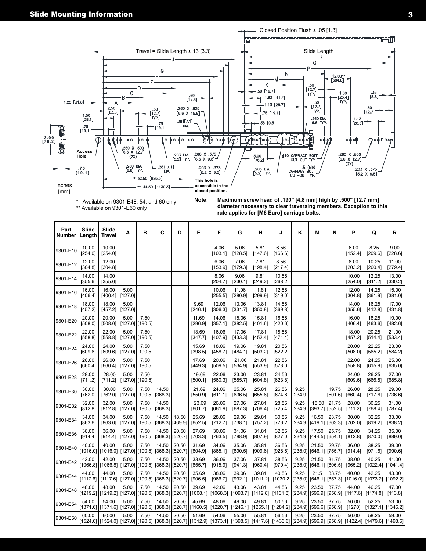

\* Available on 9301-E48, 54, and 60 only \*\* Available on 9301-E60 only

**Note: Maximum screw head of .190" [4.8 mm] high by .500" [12.7 mm] diameter necessary to clear traversing members. Exception to this rule applies for [M6 Euro] carriage bolts.** 

| Part<br><b>Number</b> | Slide<br>Length   | Slide<br><b>Travel</b>                             | А               | в                       | C                         | D                        | Е                | F                                                                              | G                | н                 | J                           | Κ               | M                                | N                              | P                  | Q                                                                                                                                                                       | $\mathsf R$                  |
|-----------------------|-------------------|----------------------------------------------------|-----------------|-------------------------|---------------------------|--------------------------|------------------|--------------------------------------------------------------------------------|------------------|-------------------|-----------------------------|-----------------|----------------------------------|--------------------------------|--------------------|-------------------------------------------------------------------------------------------------------------------------------------------------------------------------|------------------------------|
| 9301-E10              | 10.00<br>[254.0]  | 10.00<br>[254.0]                                   |                 |                         |                           |                          |                  | 4.06<br>[103.1]                                                                | 5.06<br>[128.5]  | 5.81<br>[147.6]   | 6.56<br>[166.6]             |                 |                                  |                                | 6.00<br>[152.4]    | 8.25<br>[209.6]                                                                                                                                                         | 9.00<br>[228.6]              |
| 9301-E12              | 12.00<br>[304.8]  | 12.00<br>[304.8]                                   |                 |                         |                           |                          |                  | 6.06<br>[153.9]                                                                | 7.06<br>[179.3]  | 7.81<br>[198.4]   | 8.56<br>[217.4]             |                 |                                  |                                | 8.00<br>[203.2]    | 10.25<br>[260.4]                                                                                                                                                        | 11.00<br>$[279.4]$           |
| 9301-E14              | 14.00<br>[355.6]  | 14.00<br>[355.6]                                   |                 |                         |                           |                          |                  | 8.06<br>[204.7]                                                                | 9.06<br>[230.1]  | 9.81<br>[249.2]   | 10.56<br>[268.2]            |                 |                                  |                                | 10.00<br>$[254.0]$ | 12.25<br>[311.2]                                                                                                                                                        | 13.00<br>[330.2]             |
| 9301-E16              | 16.00<br>[406.4]  | 16.00<br>[406.4]                                   | 5.00<br>[127.0] |                         |                           |                          |                  | 10.06<br>[255.5]                                                               | 11.06<br>[280.9] | 11.81<br>[299.9]  | 12.56<br>[319.0]            |                 |                                  |                                | 12.00<br>[304.8]   | 14.25<br>[361.9]                                                                                                                                                        | 15.00<br>[381.0]             |
| 9301-E18              | 18.00<br>[457.2]  | 18.00<br>[457.2]                                   | 5.00<br>[127.0] |                         |                           |                          | 9.69<br>[246.1]  | 12.06<br>[306.3]                                                               | 13.06<br>[331.7] | 13.81<br>[350.8]  | 14.56<br>[369.8]            |                 |                                  |                                | 14.00<br>[355.6]   | 16.25<br>[412.8]                                                                                                                                                        | 17.00<br>[431.8]             |
| 9301-E20              | 20.00<br>[508.0]  | 20.00<br>[508.0]                                   | 5.00            | 7.50<br>[127.0] [190.5] |                           |                          | 11.69<br>[296.9] | 14.06<br>[357.1]                                                               | 15.06<br>[382.5] | 15.81<br>[401.6]  | 16.56<br>[420.6]            |                 |                                  |                                | 16.00<br>[406.4]   | 18.25<br>[463.6]                                                                                                                                                        | 19.00<br>$[482.6]$           |
| 9301-E22              | 22.00<br>[558.8]  | 22.00<br>[558.8]                                   | 5.00            | 7.50<br>[127.0][190.5]  |                           |                          | 13.69<br>[347.7] | 16.06<br>[407.9]                                                               | 17.06<br>[433.3] | 17.81<br>[452.4]  | 18.56<br>[471.4]            |                 |                                  |                                | 18.00<br>[457.2]   | 20.25<br>[514.4]                                                                                                                                                        | 21.00<br>[533.4]             |
| 9301-E24              | 24.00<br>[609.6]  | 24.00<br>[609.6]                                   | 5.00            | 7.50<br>[127.0][190.5]  |                           |                          | 15.69<br>[398.5] | 18.06<br>[458.7]                                                               | 19.06<br>[484.1] | 19.81<br>[503.2]  | 20.56<br>[522.2]            |                 |                                  |                                | 20.00<br>[508.0]   | 22.25<br>[565.2]                                                                                                                                                        | 23.00<br>[584.2]             |
| 9301-E26              | 26.00<br>[660.4]  | 26.00<br>[660.4]                                   | 5.00            | 7.50<br>[127.0] [190.5] |                           |                          | 17.69<br>[449.3] | 20.06<br>[509.5]                                                               | 21.06<br>[534.9] | 21.81<br>[553.9]  | 22.56<br>[573.0]            |                 |                                  |                                | 22.00<br>[558.8]   | 24.25<br>[615.9]                                                                                                                                                        | 25.00<br>[635.0]             |
| 9301-E28              | 28.00<br>[711.2]  | 28.00<br>[711.2]                                   | 5.00            | 7.50<br>[127.0][190.5]  |                           |                          | 19.69<br>[500.1] | 22.06<br>[560.3]                                                               | 23.06<br>[585.7] | 23.81<br>[604.8]  | 24.56<br>[623.8]            |                 |                                  |                                | 24.00<br>[609.6]   | 26.25<br>[666.8]                                                                                                                                                        | 27.00<br>[685.8]             |
| 9301-E30              | 30.00<br>[762.0]  | 30.00<br>[762.0]                                   | 5.00            | 7.50<br>[127.0][190.5]  | 14.50<br>[368.3]          |                          | 21.69<br>[550.9] | 24.06<br>[611.1]                                                               | 25.06<br>[636.5] | 25.81<br>[655.6]  | 26.56<br>[674.6]            | 9.25<br>[234.9] |                                  | 19.75<br>[501.6]               | 26.00<br>[660.4]   | 28.25<br>[717.6]                                                                                                                                                        | 29.00<br>[736.6]             |
| 9301-E32              | 32.00<br>[812.8]  | 32.00<br>$[812.8]$                                 | 5.00            | 7.50<br>[127.0] [190.5] | 14.50<br> [368.3]         |                          | 23.69<br>[601.7] | 26.06<br>[661.9]                                                               | 27.06<br>[687.3] | 27.81<br>[706.4]  | 28.56<br>[725.4]            | 9.25            | 15.50                            | 21.75<br>[234.9][393.7][552.5] | 28.00<br>[711.2]   | 30.25<br>$\left[768.4\right]$                                                                                                                                           | 31.00<br>[787.4]             |
| 9301-E34              | 34.00<br>[863.6]  | 34.00<br>[863.6]                                   | 5.00            | 7.50<br>[127.0] [190.5] | 14.50<br> [368.3] [469.9] | 18.50                    | 25.69<br>[652.5] | 28.06<br>[712.7]                                                               | 29.06<br>[738.1] | 29.81<br>[757.2]  | 30.56<br>[776.2]            | 9.25            | 16.50<br>[234.9][419.1][603.3]   | 23.75                          | 30.00<br>[762.0]   | 32.25<br>[819.2]                                                                                                                                                        | 33.00<br>[838.2]             |
| 9301-E36              | 36.00<br>[914.4]  | 36.00<br>[914.4]                                   | 5.00            | 7.50<br>[127.0][190.5]  | 14.50<br>[368.3][520.7]   | 20.50                    | 27.69<br>[703.3] | 30.06<br>[763.5]                                                               | 31.06<br>[788.9] | 31.81<br>[807.9]  | 32.56<br>[827.0]            | 9.25            | 17.50<br>[234.9][444.5][654.1]   | 25.75                          | 32.00<br>[812.8]   | 34.25<br>[870.0]                                                                                                                                                        | 35.00<br>[889.0]             |
| 9301-E40              | 40.00             | 40.00<br>[1016.0] [1016.0] [127.0] [190.5]         | 5.00            | 7.50                    | 14.50<br>[368.3] [520.7]  | 20.50                    | 31.69<br>[804.9] | 34.06<br>[865.1]                                                               | 35.06<br>[890.5] | 35.81<br>[909.6]  | 36.56<br>[928.6]            | 9.25            | 21.50<br>[235.0] [546.1] [755.7] | 29.75                          | 36.00<br>[914.4]   | 38.25<br>[971.6]                                                                                                                                                        | 39.00<br>[990.6]             |
| 9301-E42              | 42.00<br>[1066.8] | 42.00<br>[1066.8][127.0][190.5]                    | 5.00            | 7.50                    | 14.50                     | 20.50<br>[368.3] [520.7] | 33.69<br>[855.7] | 36.06<br>[915.9]                                                               | 37.06<br>[941.3] | 37.81<br>[960.4]  | 38.56<br>[979.4]            | 9.25            | 21.50<br>[235.0][546.1][806.5]   | 31.75                          | 38.00<br>[965.2]   | 40.25<br>[1022.4]                                                                                                                                                       | 41.00<br>[1041.4]            |
| 9301-E44              | 44.00<br>[1117.6] | 44.00<br>[1117.6]                                  | 5.00            | 7.50<br>[127.0][190.5]  | 14.50<br>[368.3] [520.7]  | 20.50                    | 35.69<br>[906.5] | 38.06<br>[966.7]                                                               | 39.06<br>[992.1] | 39.81<br>[1011.2] | 40.56<br>[1030.2]           | 9.25<br>[235.0] | 21.5                             | 33.75<br>[546.1][857.3]        | 40.00<br>[1016.0]  | 42.25<br>[1073.2]                                                                                                                                                       | 43.00<br>[1092.2]            |
| 9301-E48              | 48.00             | 48.00<br>[1219.2] [1219.2] [127.0] [190.5]         | 5.00            | 7.50                    | 14.50                     | 20.50                    | 39.69            | 42.06<br> [368.3] [520.7] [1008.1] [1068.3] [1093.7]                           | 43.06            | 43.81<br>[1112.8] | 44.56<br>$[1131.8]$ [234.9] | 9.25            | 23.50                            | 37.75<br>$[596.9]$ [958.9]     | 44.00<br>[1117.6]  | 46.25<br>[1174.8]                                                                                                                                                       | 47.00<br>[113.8]             |
| 9301-E54              | 54.00             | 54.00<br>$[1371.6]   [1371.6]   [127.0]   [190.5]$ | 5.00            | 7.50                    | 14.50                     | 20.50                    | 45.69            | 48.06<br> [368.3] [520.7] [1160.5] [1220.7] [1246.1] [1265.1] [1284.2] [234.9] | 49.06            | 49.81             | 50.56                       | 9.25            | 23.50                            | 37.75<br>[596.6] [958.9]       | 50.00<br>$[1270]$  | 52.25                                                                                                                                                                   | 53.00<br>[1327.1]   [1346.2] |
| 9301-E60              | 60.00             | 60.00                                              | 5.00            | 7.50                    | 14.50                     | 20.50                    | 51.69            | 54.06                                                                          | 55.06            | 55.81             | 56.56                       | 9.25            | 23.50                            | 37.75                          | 56.00              | 58.25<br>[1498.6] [1422.4] [1422.4] [1422.4] [1490.5] [1498.6] [1520.7] [1312.9] [1373.1] [1398.5] [1417.6] [1426.6] [234.9] [596.9] [958.9] [1422.4] [1479.6] [1498.6] | 59.00                        |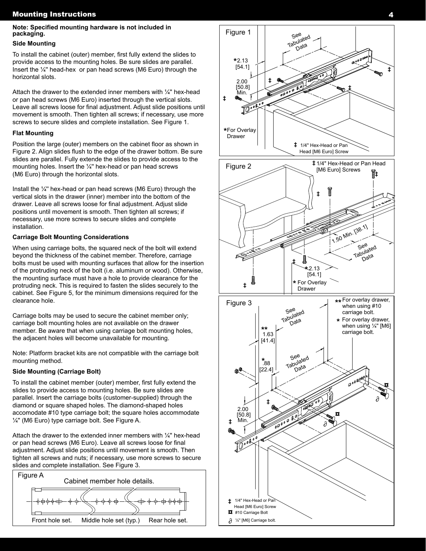## Mounting Instructions 4

#### **Note: Specified mounting hardware is not included in packaging.**

#### **Side Mounting**

To install the cabinet (outer) member, first fully extend the slides to provide access to the mounting holes. Be sure slides are parallel. Insert the ¼'' head-hex or pan head screws (M6 Euro) through the horizontal slots.

Attach the drawer to the extended inner members with  $\frac{1}{4}$ " hex-head or pan head screws (M6 Euro) inserted through the vertical slots. Leave all screws loose for final adjustment. Adjust slide positions until movement is smooth. Then tighten all screws; if necessary, use more screws to secure slides and complete installation. See Figure 1.

#### **Flat Mounting**

Position the large (outer) members on the cabinet floor as shown in Figure 2. Align slides flush to the edge of the drawer bottom. Be sure slides are parallel. Fully extende the slides to provide access to the mounting holes. Insert the  $\frac{1}{4}$ " hex-head or pan head screws (M6 Euro) through the horizontal slots.

Install the ¼'' hex-head or pan head screws (M6 Euro) through the vertical slots in the drawer (inner) member into the bottom of the drawer. Leave all screws loose for final adjustment. Adjust slide positions until movement is smooth. Then tighten all screws; if necessary, use more screws to secure slides and complete installation.

### **Carriage Bolt Mounting Considerations**

When using carriage bolts, the squared neck of the bolt will extend beyond the thickness of the cabinet member. Therefore, carriage bolts must be used with mounting surfaces that allow for the insertion of the protruding neck of the bolt (i.e. aluminum or wood). Otherwise, the mounting surface must have a hole to provide clearance for the protruding neck. This is required to fasten the slides securely to the cabinet. See Figure 5, for the minimum dimensions required for the clearance hole.

Carriage bolts may be used to secure the cabinet member only; carriage bolt mounting holes are not available on the drawer member. Be aware that when using carriage bolt mounting holes, the adjacent holes will become unavailable for mounting.

Note: Platform bracket kits are not compatible with the carriage bolt mounting method.

### **Side Mounting (Carriage Bolt)**

To install the cabinet member (outer) member, first fully extend the slides to provide access to mounting holes. Be sure slides are parallel. Insert the carriage bolts (customer-supplied) through the diamond or square shaped holes. The diamond-shaped holes accomodate #10 type carriage bolt; the square holes accommodate ¼'' (M6 Euro) type carriage bolt. See Figure A.

Attach the drawer to the extended inner members with  $\frac{1}{4}$ " hex-head or pan head screws (M6 Euro). Leave all screws loose for final adjustment. Adjust slide positions until movement is smooth. Then tighten all screws and nuts; if necessary, use more screws to secure slides and complete installation. See Figure 3.